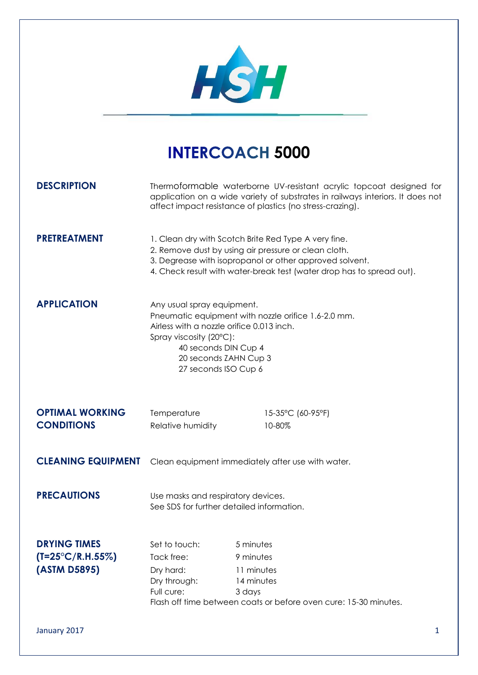

## **INTERCOACH 5000**

| <b>DESCRIPTION</b>                                                |                                                                                                                                                                                                                                                  | Thermoformable waterborne UV-resistant acrylic topcoat designed for<br>application on a wide variety of substrates in railways interiors. It does not<br>affect impact resistance of plastics (no stress-crazing). |  |
|-------------------------------------------------------------------|--------------------------------------------------------------------------------------------------------------------------------------------------------------------------------------------------------------------------------------------------|--------------------------------------------------------------------------------------------------------------------------------------------------------------------------------------------------------------------|--|
| <b>PRETREATMENT</b>                                               | 1. Clean dry with Scotch Brite Red Type A very fine.<br>2. Remove dust by using air pressure or clean cloth.<br>3. Degrease with isopropanol or other approved solvent.<br>4. Check result with water-break test (water drop has to spread out). |                                                                                                                                                                                                                    |  |
| <b>APPLICATION</b>                                                | Any usual spray equipment.<br>Pneumatic equipment with nozzle orifice 1.6-2.0 mm.<br>Airless with a nozzle orifice 0.013 inch.<br>Spray viscosity (20°C):<br>40 seconds DIN Cup 4<br>20 seconds ZAHN Cup 3<br>27 seconds ISO Cup 6               |                                                                                                                                                                                                                    |  |
| <b>OPTIMAL WORKING</b><br><b>CONDITIONS</b>                       | Temperature<br>Relative humidity                                                                                                                                                                                                                 | 15-35°C (60-95°F)<br>10-80%                                                                                                                                                                                        |  |
| <b>CLEANING EQUIPMENT</b>                                         | Clean equipment immediately after use with water.                                                                                                                                                                                                |                                                                                                                                                                                                                    |  |
| <b>PRECAUTIONS</b>                                                | Use masks and respiratory devices.<br>See SDS for further detailed information.                                                                                                                                                                  |                                                                                                                                                                                                                    |  |
| <b>DRYING TIMES</b><br>$(T=25^{\circ}C/R.H.55\%)$<br>(ASTM D5895) | Set to touch:<br>Tack free:<br>Dry hard:<br>Dry through:<br>Full cure:                                                                                                                                                                           | 5 minutes<br>9 minutes<br>11 minutes<br>14 minutes<br>3 days<br>Flash off time between coats or before oven cure: 15-30 minutes.                                                                                   |  |